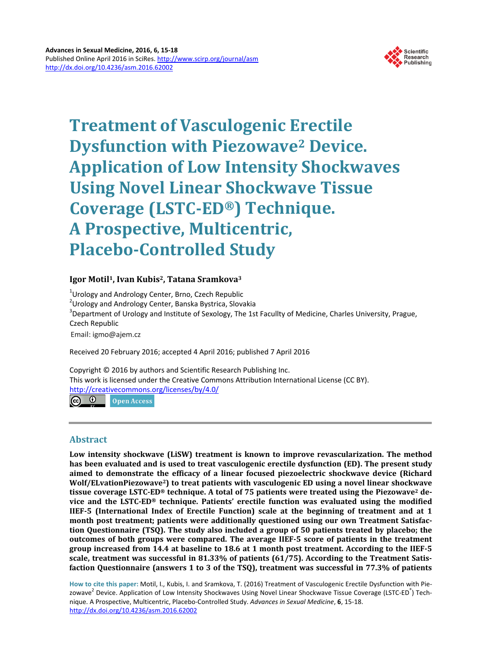

# **Treatment of Vasculogenic Erectile Dysfunction with Piezowave2 Device. Application of Low Intensity Shockwaves Using Novel Linear Shockwave Tissue Coverage (LSTC-ED®) Technique. A Prospective, Multicentric, Placebo-Controlled Study**

# **Igor Motil1, Ivan Kubis2, Tatana Sramkova3**

<sup>1</sup>Urology and Andrology Center, Brno, Czech Republic

<sup>2</sup>Urology and Andrology Center, Banska Bystrica, Slovakia

 ${}^{3}$ Department of Urology and Institute of Sexology, The 1st Facullty of Medicine, Charles University, Prague, Czech Republic

Email: igmo@ajem.cz

Received 20 February 2016; accepted 4 April 2016; published 7 April 2016

Copyright © 2016 by authors and Scientific Research Publishing Inc. This work is licensed under the Creative Commons Attribution International License (CC BY). <http://creativecommons.org/licenses/by/4.0/>

<u>ര ര</u> **Open Access** 

# **Abstract**

**Low intensity shockwave (LiSW) treatment is known to improve revascularization. The method has been evaluated and is used to treat vasculogenic erectile dysfunction (ED). The present study aimed to demonstrate the efficacy of a linear focused piezoelectric shockwave device (Richard Wolf/ELvationPiezowave2) to treat patients with vasculogenic ED using a novel linear shockwave tissue coverage LSTC-ED® technique. A total of 75 patients were treated using the Piezowave2 device and the LSTC-ED® technique. Patients' erectile function was evaluated using the modified IIEF-5 (International Index of Erectile Function) scale at the beginning of treatment and at 1 month post treatment; patients were additionally questioned using our own Treatment Satisfaction Questionnaire (TSQ). The study also included a group of 50 patients treated by placebo; the outcomes of both groups were compared. The average IIEF-5 score of patients in the treatment group increased from 14.4 at baseline to 18.6 at 1 month post treatment. According to the IIEF-5 scale, treatment was successful in 81.33% of patients (61/75). According to the Treatment Satisfaction Questionnaire (answers 1 to 3 of the TSQ), treatment was successful in 77.3% of patients**

**How to cite this paper:** Motil, I., Kubis, I. and Sramkova, T. (2016) Treatment of Vasculogenic Erectile Dysfunction with Piezowave<sup>2</sup> Device. Application of Low Intensity Shockwaves Using Novel Linear Shockwave Tissue Coverage (LSTC-ED<sup>®</sup>) Technique. A Prospective, Multicentric, Placebo-Controlled Study. *Advances in Sexual Medicine*, **6**, 15-18. <http://dx.doi.org/10.4236/asm.2016.62002>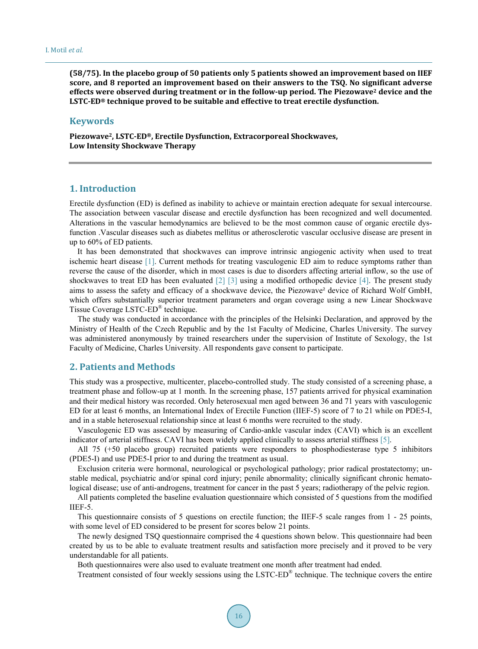**(58/75). In the placebo group of 50 patients only 5 patients showed an improvement based on IIEF score, and 8 reported an improvement based on their answers to the TSQ. No significant adverse effects were observed during treatment or in the follow-up period. The Piezowave2 device and the LSTC-ED® technique proved to be suitable and effective to treat erectile dysfunction.**

# **Keywords**

**Piezowave2, LSTC-ED®, Erectile Dysfunction, Extracorporeal Shockwaves, Low Intensity Shockwave Therapy**

# **1. Introduction**

Erectile dysfunction (ED) is defined as inability to achieve or maintain erection adequate for sexual intercourse. The association between vascular disease and erectile dysfunction has been recognized and well documented. Alterations in the vascular hemodynamics are believed to be the most common cause of organic erectile dysfunction .Vascular diseases such as diabetes mellitus or atherosclerotic vascular occlusive disease are present in up to 60% of ED patients.

It has been demonstrated that shockwaves can improve intrinsic angiogenic activity when used to treat ischemic heart disease [\[](#page-3-0)1]. Current methods for treating vasculogenic ED aim to reduce symptoms rather than reverse the cause of the disorder, which in most cases is due to disorders affecting arterial inflow, so the use of shockwaves to treat ED has been evaluated  $\lceil 2 \rceil$   $\lceil 3 \rceil$  using a modified orthopedic device  $\lceil 4 \rceil$ . The present study aims to assess the safety and efficacy of a shockwave device, the Piezowave² device of Richard Wolf GmbH, which offers substantially superior treatment parameters and organ coverage using a new Linear Shockwave Tissue Coverage LSTC-ED® technique.

The study was conducted in accordance with the principles of the Helsinki Declaration, and approved by the Ministry of Health of the Czech Republic and by the 1st Faculty of Medicine, Charles University. The survey was administered anonymously by trained researchers under the supervision of Institute of Sexology, the 1st Faculty of Medicine, Charles University. All respondents gave consent to participate.

## **2. Patients and Methods**

This study was a prospective, multicenter, placebo-controlled study. The study consisted of a screening phase, a treatment phase and follow-up at 1 month. In the screening phase, 157 patients arrived for physical examination and their medical history was recorded. Only heterosexual men aged between 36 and 71 years with vasculogenic ED for at least 6 months, an International Index of Erectile Function (IIEF-5) score of 7 to 21 while on PDE5-I, and in a stable heterosexual relationship since at least 6 months were recruited to the study.

Vasculogenic ED was assessed by measuring of Cardio-ankle vascular index (CAVI) which is an excellent indicator of arterial stiffness. CAVI has been widely applied clinically to assess arterial stiffness [\[5\].](#page-3-4)

All 75 (+50 placebo group) recruited patients were responders to phosphodiesterase type 5 inhibitors (PDE5-I) and use PDE5-I prior to and during the treatment as usual.

Exclusion criteria were hormonal, neurological or psychological pathology; prior radical prostatectomy; unstable medical, psychiatric and/or spinal cord injury; penile abnormality; clinically significant chronic hematological disease; use of anti-androgens, treatment for cancer in the past 5 years; radiotherapy of the pelvic region.

All patients completed the baseline evaluation questionnaire which consisted of 5 questions from the modified IIEF-5.

This questionnaire consists of 5 questions on erectile function; the IIEF-5 scale ranges from 1 - 25 points, with some level of ED considered to be present for scores below 21 points.

The newly designed TSQ questionnaire comprised the 4 questions shown below. This questionnaire had been created by us to be able to evaluate treatment results and satisfaction more precisely and it proved to be very understandable for all patients.

Both questionnaires were also used to evaluate treatment one month after treatment had ended.

Treatment consisted of four weekly sessions using the LSTC-ED® technique. The technique covers the entire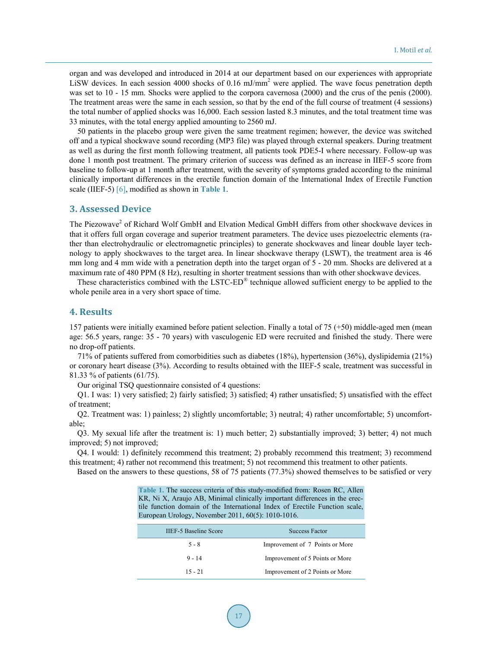organ and was developed and introduced in 2014 at our department based on our experiences with appropriate LiSW devices. In each session 4000 shocks of 0.16 mJ/mm<sup>2</sup> were applied. The wave focus penetration depth was set to 10 - 15 mm. Shocks were applied to the corpora cavernosa (2000) and the crus of the penis (2000). The treatment areas were the same in each session, so that by the end of the full course of treatment (4 sessions) the total number of applied shocks was 16,000. Each session lasted 8.3 minutes, and the total treatment time was 33 minutes, with the total energy applied amounting to 2560 mJ.

50 patients in the placebo group were given the same treatment regimen; however, the device was switched off and a typical shockwave sound recording (MP3 file) was played through external speakers. During treatment as well as during the first month following treatment, all patients took PDE5-I where necessary. Follow-up was done 1 month post treatment. The primary criterion of success was defined as an increase in IIEF-5 score from baseline to follow-up at 1 month after treatment, with the severity of symptoms graded according to the minimal clinically important differences in the erectile function domain of the International Index of Erectile Function scale (IIEF-5) [\[6\],](#page-3-5) modified as shown in **[Table](#page-2-0) 1**.

#### **3. Assessed Device**

The Piezowave<sup>2</sup> of Richard Wolf GmbH and Elvation Medical GmbH differs from other shockwave devices in that it offers full organ coverage and superior treatment parameters. The device uses piezoelectric elements (rather than electrohydraulic or electromagnetic principles) to generate shockwaves and linear double layer technology to apply shockwaves to the target area. In linear shockwave therapy (LSWT), the treatment area is 46 mm long and 4 mm wide with a penetration depth into the target organ of 5 - 20 mm. Shocks are delivered at a maximum rate of 480 PPM (8 Hz), resulting in shorter treatment sessions than with other shockwave devices.

These characteristics combined with the LSTC-ED® technique allowed sufficient energy to be applied to the whole penile area in a very short space of time.

#### **4. Results**

157 patients were initially examined before patient selection. Finally a total of 75 (+50) middle-aged men (mean age: 56.5 years, range: 35 - 70 years) with vasculogenic ED were recruited and finished the study. There were no drop-off patients.

71% of patients suffered from comorbidities such as diabetes (18%), hypertension (36%), dyslipidemia (21%) or coronary heart disease (3%). According to results obtained with the IIEF-5 scale, treatment was successful in 81.33 % of patients (61/75).

Our original TSQ questionnaire consisted of 4 questions:

Q1. I was: 1) very satisfied; 2) fairly satisfied; 3) satisfied; 4) rather unsatisfied; 5) unsatisfied with the effect of treatment;

Q2. Treatment was: 1) painless; 2) slightly uncomfortable; 3) neutral; 4) rather uncomfortable; 5) uncomfortable;

Q3. My sexual life after the treatment is: 1) much better; 2) substantially improved; 3) better; 4) not much improved; 5) not improved;

Q4. I would: 1) definitely recommend this treatment; 2) probably recommend this treatment; 3) recommend this treatment; 4) rather not recommend this treatment; 5) not recommend this treatment to other patients.

<span id="page-2-0"></span>Based on the answers to these questions, 58 of 75 patients (77.3%) showed themselves to be satisfied or very

**Table 1.** The success criteria of this study-modified from: Rosen RC, Allen KR, Ni X, Araujo AB, Minimal clinically important differences in the erectile function domain of the International Index of Erectile Function scale, European Urology, November 2011, 60(5): 1010-1016.

| <b>IIEF-5 Baseline Score</b> | <b>Success Factor</b>           |
|------------------------------|---------------------------------|
| $5 - 8$                      | Improvement of 7 Points or More |
| $9 - 14$                     | Improvement of 5 Points or More |
| $15 - 21$                    | Improvement of 2 Points or More |